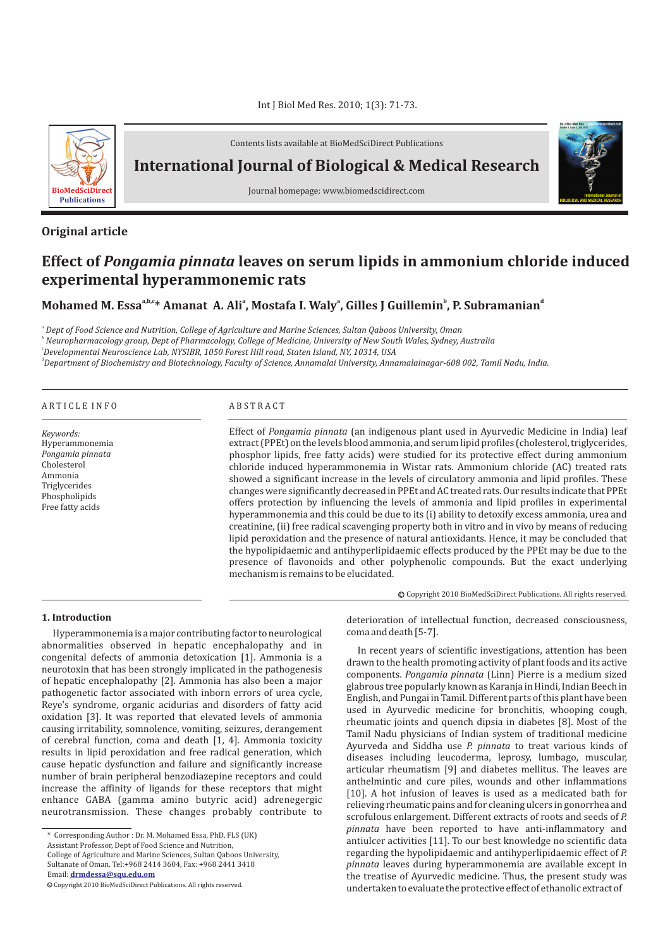

Contents lists available at BioMedSciDirect Publications

**International Journal of Biological & Medical Research**

Journal homepage: www.biomedscidirect.com

# **Original article**

# Effect of *Pongamia pinnata* leaves on serum lipids in ammonium chloride induced **experimental hyperammonemic rats**

**Mohamed M. Essa**<sup>a,b,c</sup>\* Amanat A. Ali<sup>a</sup>, Mostafa I. Waly<sup>a</sup>, Gilles J Guillemin<sup>b</sup>, P. Subramanian<sup>d</sup>

*a Dept of Food Science and Nutrition, College of Agriculture and Marine Sciences, Sultan Qaboos University, Oman*

*b Neuropharmacology group, Dept of Pharmacology, College of Medicine, University of New South Wales, Sydney, Australia*

*c Developmental Neuroscience Lab, NYSIBR, 1050 Forest Hill road, Staten Island, NY, 10314, USA*

*d Department of Biochemistry and Biotechnology, Faculty of Science, Annamalai University, Annamalainagar-608 002, Tamil Nadu, India.*

| ARTICLE INFO                                                                                                                    | <b>ABSTRACT</b>                                                                                                                                                                                                                                                                                                                                                                                                                                                                                                                                                                                                                                                                                                                                                                                                                                                                                                                                                                                                                                                                                                                                                           |  |  |  |  |
|---------------------------------------------------------------------------------------------------------------------------------|---------------------------------------------------------------------------------------------------------------------------------------------------------------------------------------------------------------------------------------------------------------------------------------------------------------------------------------------------------------------------------------------------------------------------------------------------------------------------------------------------------------------------------------------------------------------------------------------------------------------------------------------------------------------------------------------------------------------------------------------------------------------------------------------------------------------------------------------------------------------------------------------------------------------------------------------------------------------------------------------------------------------------------------------------------------------------------------------------------------------------------------------------------------------------|--|--|--|--|
| Keywords:<br>Hyperammonemia<br>Pongamia pinnata<br>Cholesterol<br>Ammonia<br>Triglycerides<br>Phospholipids<br>Free fatty acids | Effect of Pongamia pinnata (an indigenous plant used in Ayurvedic Medicine in India) leaf<br>extract (PPEt) on the levels blood ammonia, and serum lipid profiles (cholesterol, triglycerides,<br>phosphor lipids, free fatty acids) were studied for its protective effect during ammonium<br>chloride induced hyperammonemia in Wistar rats. Ammonium chloride (AC) treated rats<br>showed a significant increase in the levels of circulatory ammonia and lipid profiles. These<br>changes were significantly decreased in PPEt and AC treated rats. Our results indicate that PPEt<br>offers protection by influencing the levels of ammonia and lipid profiles in experimental<br>hyperammonemia and this could be due to its (i) ability to detoxify excess ammonia, urea and<br>creatinine, (ii) free radical scavenging property both in vitro and in vivo by means of reducing<br>lipid peroxidation and the presence of natural antioxidants. Hence, it may be concluded that<br>the hypolipidaemic and antihyperlipidaemic effects produced by the PPEt may be due to the<br>presence of flavonoids and other polyphenolic compounds. But the exact underlying |  |  |  |  |

mechanism is remains to be elucidated.

Copyright 2010 BioMedSciDirect Publications. All rights reserved. c

**International Journal of BIOLOGICAL AND MEDICAL RESEARCH**

**Int J Biol Med Res www.biomedscidirect.com Volume 3, Issue 3, July 2010**

## **1. Introduction**

Hyperammonemia is a major contributing factor to neurological abnormalities observed in hepatic encephalopathy and in congenital defects of ammonia detoxication [1]. Ammonia is a neurotoxin that has been strongly implicated in the pathogenesis of hepatic encephalopathy [2]. Ammonia has also been a major pathogenetic factor associated with inborn errors of urea cycle, Reye's syndrome, organic acidurias and disorders of fatty acid oxidation [3]. It was reported that elevated levels of ammonia causing irritability, somnolence, vomiting, seizures, derangement of cerebral function, coma and death [1, 4]. Ammonia toxicity results in lipid peroxidation and free radical generation, which cause hepatic dysfunction and failure and significantly increase number of brain peripheral benzodiazepine receptors and could increase the affinity of ligands for these receptors that might enhance GABA (gamma amino butyric acid) adrenegergic neurotransmission. These changes probably contribute to

\* Corresponding Author : Dr. M. Mohamed Essa, PhD, FLS (UK) Assistant Professor, Dept of Food Science and Nutrition, College of Agriculture and Marine Sciences, Sultan Qaboos University, Sultanate of Oman. Tel:+968 2414 3604, Fax: +968 2441 3418 Email: **drmdessa@squ.edu.om**

c Copyright 2010 BioMedSciDirect Publications. All rights reserved.

deterioration of intellectual function, decreased consciousness, coma and death [5-7].

In recent years of scientific investigations, attention has been drawn to the health promoting activity of plant foods and its active components. Pongamia pinnata (Linn) Pierre is a medium sized glabrous tree popularly known as Karanja in Hindi, Indian Beech in English, and Pungai in Tamil. Different parts of this plant have been used in Ayurvedic medicine for bronchitis, whooping cough, rheumatic joints and quench dipsia in diabetes [8]. Most of the Tamil Nadu physicians of Indian system of traditional medicine Ayurveda and Siddha use P. pinnata to treat various kinds of diseases including leucoderma, leprosy, lumbago, muscular, articular rheumatism [9] and diabetes mellitus. The leaves are anthelmintic and cure piles, wounds and other inflammations [10]. A hot infusion of leaves is used as a medicated bath for relieving rheumatic pains and for cleaning ulcers in gonorrhea and scrofulous enlargement. Different extracts of roots and seeds of *P.* pinnata have been reported to have anti-inflammatory and antiulcer activities [11]. To our best knowledge no scientific data regarding the hypolipidaemic and antihyperlipidaemic effect of *P.* pinnata leaves during hyperammonemia are available except in the treatise of Ayurvedic medicine. Thus, the present study was undertaken to evaluate the protective effect of ethanolic extract of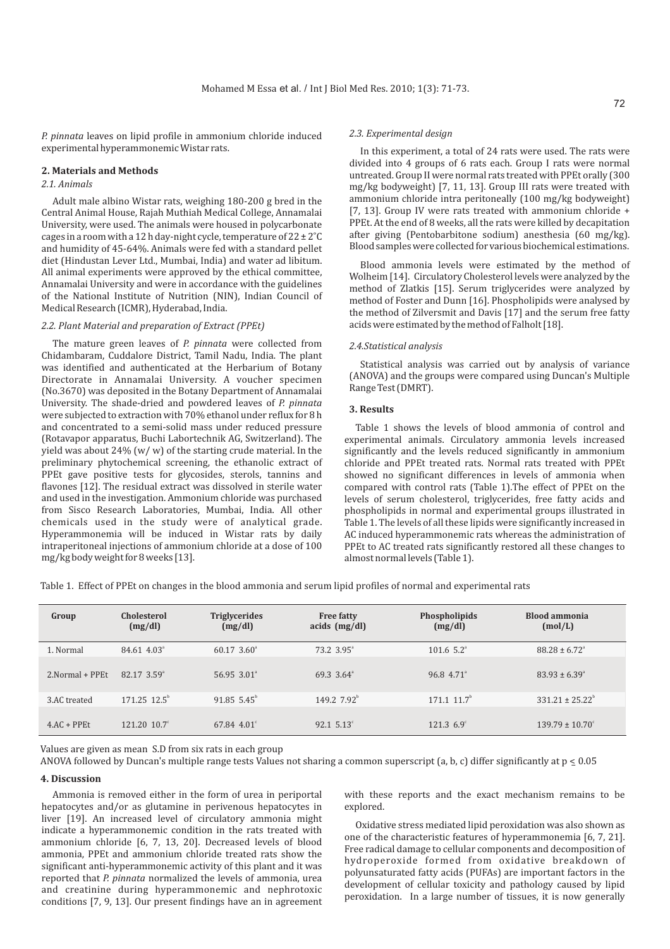*P. pinnata* leaves on lipid profile in ammonium chloride induced experimental hyperammonemic Wistar rats. In this experiment, a total of 24 rats were used. The rats were

#### **2. Materials and Methods**

### *2.1. Animals*

Adult male albino Wistar rats, weighing 180-200 g bred in the Central Animal House, Rajah Muthiah Medical College, Annamalai University, were used. The animals were housed in polycarbonate cages in a room with a 12 h day-night cycle, temperature of  $22 \pm 2^{\circ}$ C and humidity of 45-64%. Animals were fed with a standard pellet diet (Hindustan Lever Ltd., Mumbai, India) and water ad libitum. All animal experiments were approved by the ethical committee, Annamalai University and were in accordance with the guidelines of the National Institute of Nutrition (NIN), Indian Council of Medical Research (ICMR), Hyderabad, India.

### *2.2. Plant Material and preparation of Extract (PPEt)*

The mature green leaves of *P. pinnata w*ere collected from Chidambaram, Cuddalore District, Tamil Nadu, India. The plant was identified and authenticated at the Herbarium of Botany Directorate in Annamalai University. A voucher specimen (No.3670) was deposited in the Botany Department of Annamalai University. The shade-dried and powdered leaves of *P. pinnata* were subjected to extraction with 70% ethanol under reflux for 8 h and concentrated to a semi-solid mass under reduced pressure (Rotavapor apparatus, Buchi Labortechnik AG, Switzerland). The yield was about 24%  $(w/w)$  of the starting crude material. In the preliminary phytochemical screening, the ethanolic extract of PPEt gave positive tests for glycosides, sterols, tannins and flavones [12]. The residual extract was dissolved in sterile water and used in the investigation. Ammonium chloride was purchased from Sisco Research Laboratories, Mumbai, India. All other chemicals used in the study were of analytical grade. Hyperammonemia will be induced in Wistar rats by daily intraperitoneal injections of ammonium chloride at a dose of 100 mg/kg body weight for 8 weeks [13].

#### *2.3. Experimental design*

divided into 4 groups of 6 rats each. Group I rats were normal untreated. Group II were normal rats treated with PPEt orally (300 mg/kg bodyweight) [7, 11, 13]. Group III rats were treated with ammonium chloride intra peritoneally (100 mg/kg bodyweight) [7, 13]. Group IV were rats treated with ammonium chloride + PPEt. At the end of 8 weeks, all the rats were killed by decapitation after giving (Pentobarbitone sodium) anesthesia (60 mg/kg). Blood samples were collected for various biochemical estimations.

Blood ammonia levels were estimated by the method of Wolheim [14]. Circulatory Cholesterol levels were analyzed by the method of Zlatkis [15]. Serum triglycerides were analyzed by method of Foster and Dunn [16]. Phospholipids were analysed by the method of Zilversmit and Davis [17] and the serum free fatty acids were estimated by the method of Falholt [18].

#### *2.4.Statistical analysis*

Statistical analysis was carried out by analysis of variance (ANOVA) and the groups were compared using Duncan's Multiple Range Test (DMRT).

### **3. Results**

Table 1 shows the levels of blood ammonia of control and experimental animals. Circulatory ammonia levels increased significantly and the levels reduced significantly in ammonium chloride and PPEt treated rats. Normal rats treated with PPEt showed no significant differences in levels of ammonia when compared with control rats (Table 1).The effect of PPEt on the levels of serum cholesterol, triglycerides, free fatty acids and phospholipids in normal and experimental groups illustrated in Table 1. The levels of all these lipids were significantly increased in AC induced hyperammonemic rats whereas the administration of PPEt to AC treated rats significantly restored all these changes to almost normal levels (Table 1).

Table 1. Effect of PPEt on changes in the blood ammonia and serum lipid profiles of normal and experimental rats

| Group            | Cholesterol<br>(mg/dl)       | <b>Triglycerides</b><br>(mg/dl) | <b>Free fatty</b><br>acids $(mg/dl)$ | Phospholipids<br>(mg/dl)     | <b>Blood ammonia</b><br>(mol/L) |
|------------------|------------------------------|---------------------------------|--------------------------------------|------------------------------|---------------------------------|
| 1. Normal        | $84.61$ $4.03^{\circ}$       | $60.17, 3.60^{\circ}$           | 73.2 3.95 <sup>a</sup>               | $101.6$ 5.2 <sup>a</sup>     | $88.28 \pm 6.72$ <sup>a</sup>   |
| 2. Normal + PPEt | $82.17$ $3.59^{\circ}$       | $56.95$ $3.01$ <sup>a</sup>     | 69.3 3.64 <sup>ª</sup>               | 96.8 4.71 <sup>ª</sup>       | $83.93 \pm 6.39$ <sup>a</sup>   |
| 3.AC treated     | $171.25$ $12.5^{\circ}$      | $91.855.45^{\circ}$             | 149.2 $7.92^b$                       | $171.1 \; 11.7^{\mathrm{b}}$ | $331.21 \pm 25.22^{\circ}$      |
| $4AC + PPEt$     | $121.20 \ 10.7$ <sup>c</sup> | $67.84$ 4.01 <sup>c</sup>       | $92.15.13^{\circ}$                   | $121.3\;6.9^{\circ}$         | $139.79 \pm 10.70^{\circ}$      |

Values are given as mean S.D from six rats in each group

ANOVA followed by Duncan's multiple range tests Values not sharing a common superscript (a, b, c) differ significantly at  $p \le 0.05$ 

#### **4. Discussion**

Ammonia is removed either in the form of urea in periportal hepatocytes and/or as glutamine in perivenous hepatocytes in liver [19]. An increased level of circulatory ammonia might indicate a hyperammonemic condition in the rats treated with ammonium chloride [6, 7, 13, 20]. Decreased levels of blood ammonia, PPEt and ammonium chloride treated rats show the significant anti-hyperammonemic activity of this plant and it was reported that P. pinnata normalized the levels of ammonia, urea and creatinine during hyperammonemic and nephrotoxic conditions [7, 9, 13]. Our present findings have an in agreement

with these reports and the exact mechanism remains to be explored.

Oxidative stress mediated lipid peroxidation was also shown as one of the characteristic features of hyperammonemia [6, 7, 21]. Free radical damage to cellular components and decomposition of hydroperoxide formed from oxidative breakdown of polyunsaturated fatty acids (PUFAs) are important factors in the development of cellular toxicity and pathology caused by lipid peroxidation. In a large number of tissues, it is now generally